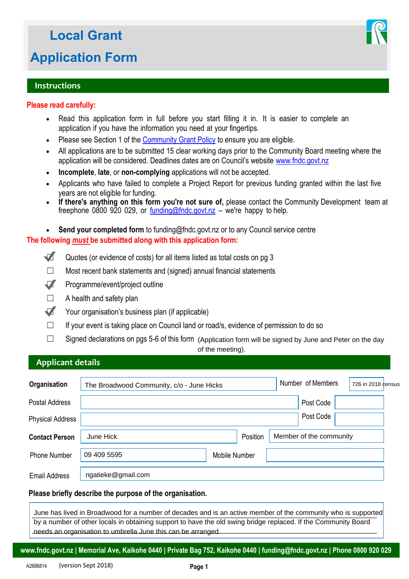# **Local Grant**

## **Application Form**

## **Instructions**

## **Please read carefully:**

- Read this application form in full before you start filling it in. It is easier to complete an application if you have the information you need at your fingertips.
- Please see Section 1 of the [Community Grant Policy t](http://intranet.fndc.govt.nz/your-council/councils-policies/Community-Grant-Policy.pdf)o ensure you are eligible.
- All applications are to be submitted 15 clear working days prior to the Community Board meeting where the application will be considered. Deadlines dates are on Council's website [www.fndc.govt.nz](http://www.fndc.govt.nz)
- **Incomplete**, **late**, or **non-complying** applications will not be accepted.
- Applicants who have failed to complete a Project Report for previous funding granted within the last five years are not eligible for funding.
- **If there's anything on this form you're not sure of,** please contact the Community Development team at freephone 0800 920 029, or  $funding@fndc.govt.nz - we're happy to help.$  $funding@fndc.govt.nz - we're happy to help.$  $funding@fndc.govt.nz - we're happy to help.$ </u>

 **Send your completed form** to funding@fndc.govt.nz or to any Council service centre **The following** *must* **be submitted along with this application form:** 

- Quotes (or evidence of costs) for all items listed as total costs on pg 3
- $\Box$  Most recent bank statements and (signed) annual financial statements
- ☐ Programme/event/project outline
- $\Box$  A health and safety plan

**Applicant details**

- ☐ Your organisation's business plan (if applicable)
- $\Box$  If your event is taking place on Council land or road/s, evidence of permission to do so
- ☐ Signed declarations on pgs 5-6 of this form (Application form will be signed by June and Peter on the day

of the meeting).

| <b>Applically</b> details |                                                                                                                                                                                |               |                         |                    |
|---------------------------|--------------------------------------------------------------------------------------------------------------------------------------------------------------------------------|---------------|-------------------------|--------------------|
| Organisation              | The Broadwood Community, c/o - June Hicks                                                                                                                                      |               | Number of Members       | 726 in 2018 census |
| Postal Address            |                                                                                                                                                                                |               | Post Code               |                    |
| <b>Physical Address</b>   |                                                                                                                                                                                |               | Post Code               |                    |
| <b>Contact Person</b>     | June Hick                                                                                                                                                                      | Position      | Member of the community |                    |
| <b>Phone Number</b>       | 09 409 5595                                                                                                                                                                    | Mobile Number |                         |                    |
| <b>Email Address</b>      | ngatieke@gmail.com                                                                                                                                                             |               |                         |                    |
|                           | Please briefly describe the purpose of the organisation.                                                                                                                       |               |                         |                    |
|                           | June has lived in Broadwood for a number of decades and is an active member of the community who is supported                                                                  |               |                         |                    |
|                           | by a number of other locals in obtaining support to have the old swing bridge replaced. If the Community Board<br>needs an organisation to umbrella June this can be arranged. |               |                         |                    |

## **Please briefly describe the purpose of the organisation.**

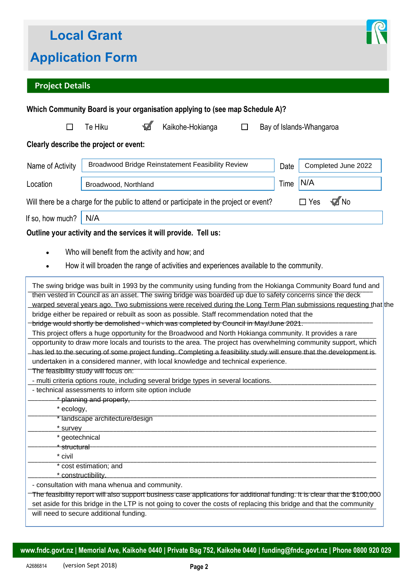

## **Project Details**

|                                                                                                             |                               |  | Which Community Board is your organisation applying to (see map Schedule A)?                                                                                                                                                                                                                                                                                                                                                                                                                                                                                                                                                                                                                                                                                                                                                                    |        |                          |            |                     |
|-------------------------------------------------------------------------------------------------------------|-------------------------------|--|-------------------------------------------------------------------------------------------------------------------------------------------------------------------------------------------------------------------------------------------------------------------------------------------------------------------------------------------------------------------------------------------------------------------------------------------------------------------------------------------------------------------------------------------------------------------------------------------------------------------------------------------------------------------------------------------------------------------------------------------------------------------------------------------------------------------------------------------------|--------|--------------------------|------------|---------------------|
| H                                                                                                           | Te Hiku                       |  | Kaikohe-Hokianga                                                                                                                                                                                                                                                                                                                                                                                                                                                                                                                                                                                                                                                                                                                                                                                                                                | $\Box$ | Bay of Islands-Whangaroa |            |                     |
| Clearly describe the project or event:                                                                      |                               |  |                                                                                                                                                                                                                                                                                                                                                                                                                                                                                                                                                                                                                                                                                                                                                                                                                                                 |        |                          |            |                     |
| Name of Activity                                                                                            |                               |  | Broadwood Bridge Reinstatement Feasibility Review                                                                                                                                                                                                                                                                                                                                                                                                                                                                                                                                                                                                                                                                                                                                                                                               |        | Date                     |            | Completed June 2022 |
| Location                                                                                                    | Broadwood, Northland          |  |                                                                                                                                                                                                                                                                                                                                                                                                                                                                                                                                                                                                                                                                                                                                                                                                                                                 | Time   | N/A                      |            |                     |
|                                                                                                             |                               |  | Will there be a charge for the public to attend or participate in the project or event?                                                                                                                                                                                                                                                                                                                                                                                                                                                                                                                                                                                                                                                                                                                                                         |        |                          | $\Box$ Yes | $\sqrt{ }$ No       |
| If so, how much?                                                                                            | N/A                           |  |                                                                                                                                                                                                                                                                                                                                                                                                                                                                                                                                                                                                                                                                                                                                                                                                                                                 |        |                          |            |                     |
|                                                                                                             |                               |  | Outline your activity and the services it will provide. Tell us:                                                                                                                                                                                                                                                                                                                                                                                                                                                                                                                                                                                                                                                                                                                                                                                |        |                          |            |                     |
|                                                                                                             |                               |  |                                                                                                                                                                                                                                                                                                                                                                                                                                                                                                                                                                                                                                                                                                                                                                                                                                                 |        |                          |            |                     |
| $\bullet$                                                                                                   |                               |  | Who will benefit from the activity and how; and                                                                                                                                                                                                                                                                                                                                                                                                                                                                                                                                                                                                                                                                                                                                                                                                 |        |                          |            |                     |
| $\bullet$                                                                                                   |                               |  | How it will broaden the range of activities and experiences available to the community.                                                                                                                                                                                                                                                                                                                                                                                                                                                                                                                                                                                                                                                                                                                                                         |        |                          |            |                     |
| The feasibility study will focus on:<br>- technical assessments to inform site option include<br>* ecology, | * planning and property,      |  | warped several years ago. Two submissions were received during the Long Term Plan submissions requesting that the<br>bridge either be repaired or rebuilt as soon as possible. Staff recommendation noted that the<br>bridge would shortly be demolished - which was completed by Council in May/June 2021.<br>This project offers a huge opportunity for the Broadwood and North Hokianga community. It provides a rare<br>opportunity to draw more locals and tourists to the area. The project has overwhelming community support, which<br>has led to the securing of some project funding. Completing a feasibility study will ensure that the development is<br>undertaken in a considered manner, with local knowledge and technical experience.<br>- multi criteria options route, including several bridge types in several locations. |        |                          |            |                     |
|                                                                                                             | landscape architecture/design |  |                                                                                                                                                                                                                                                                                                                                                                                                                                                                                                                                                                                                                                                                                                                                                                                                                                                 |        |                          |            |                     |
| * survey<br>* geotechnical                                                                                  |                               |  |                                                                                                                                                                                                                                                                                                                                                                                                                                                                                                                                                                                                                                                                                                                                                                                                                                                 |        |                          |            |                     |
| * structural                                                                                                |                               |  |                                                                                                                                                                                                                                                                                                                                                                                                                                                                                                                                                                                                                                                                                                                                                                                                                                                 |        |                          |            |                     |
| * civil                                                                                                     |                               |  |                                                                                                                                                                                                                                                                                                                                                                                                                                                                                                                                                                                                                                                                                                                                                                                                                                                 |        |                          |            |                     |
|                                                                                                             | * cost estimation; and        |  |                                                                                                                                                                                                                                                                                                                                                                                                                                                                                                                                                                                                                                                                                                                                                                                                                                                 |        |                          |            |                     |
| - consultation with mana whenua and community.                                                              | * constructibility.           |  |                                                                                                                                                                                                                                                                                                                                                                                                                                                                                                                                                                                                                                                                                                                                                                                                                                                 |        |                          |            |                     |
|                                                                                                             |                               |  | The feasibility report will also support business case applications for additional funding. It is clear that the \$100,000<br>set aside for this bridge in the LTP is not going to cover the costs of replacing this bridge and that the community                                                                                                                                                                                                                                                                                                                                                                                                                                                                                                                                                                                              |        |                          |            |                     |
| will need to secure additional funding.                                                                     |                               |  |                                                                                                                                                                                                                                                                                                                                                                                                                                                                                                                                                                                                                                                                                                                                                                                                                                                 |        |                          |            |                     |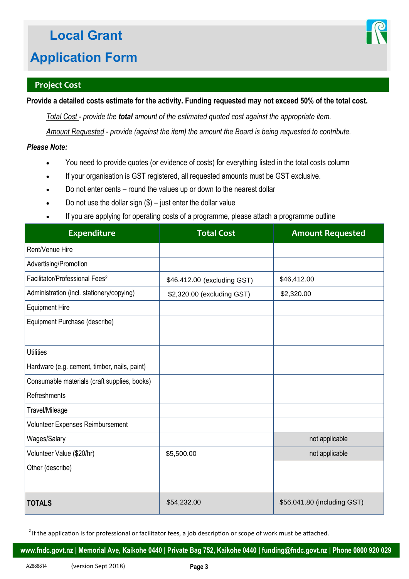

## **Project Cost**

**Provide a detailed costs estimate for the activity. Funding requested may not exceed 50% of the total cost.** 

*Total Cost - provide the total amount of the estimated quoted cost against the appropriate item.* 

*Amount Requested - provide (against the item) the amount the Board is being requested to contribute.* 

## *Please Note:*

- You need to provide quotes (or evidence of costs) for everything listed in the total costs column
- If your organisation is GST registered, all requested amounts must be GST exclusive.
- Do not enter cents round the values up or down to the nearest dollar
- Do not use the dollar sign  $(\$)$  just enter the dollar value
- If you are applying for operating costs of a programme, please attach a programme outline

| <b>Expenditure</b>                           | <b>Total Cost</b>           | <b>Amount Requested</b>     |
|----------------------------------------------|-----------------------------|-----------------------------|
| Rent/Venue Hire                              |                             |                             |
| Advertising/Promotion                        |                             |                             |
| Facilitator/Professional Fees <sup>2</sup>   | \$46,412.00 (excluding GST) | \$46,412.00                 |
| Administration (incl. stationery/copying)    | \$2,320.00 (excluding GST)  | \$2,320.00                  |
| <b>Equipment Hire</b>                        |                             |                             |
| Equipment Purchase (describe)                |                             |                             |
|                                              |                             |                             |
| <b>Utilities</b>                             |                             |                             |
| Hardware (e.g. cement, timber, nails, paint) |                             |                             |
| Consumable materials (craft supplies, books) |                             |                             |
| Refreshments                                 |                             |                             |
| Travel/Mileage                               |                             |                             |
| Volunteer Expenses Reimbursement             |                             |                             |
| Wages/Salary                                 |                             | not applicable              |
| Volunteer Value (\$20/hr)                    | \$5,500.00                  | not applicable              |
| Other (describe)                             |                             |                             |
|                                              |                             |                             |
| <b>TOTALS</b>                                | \$54,232.00                 | \$56,041.80 (including GST) |

 $2$  If the application is for professional or facilitator fees, a job description or scope of work must be attached.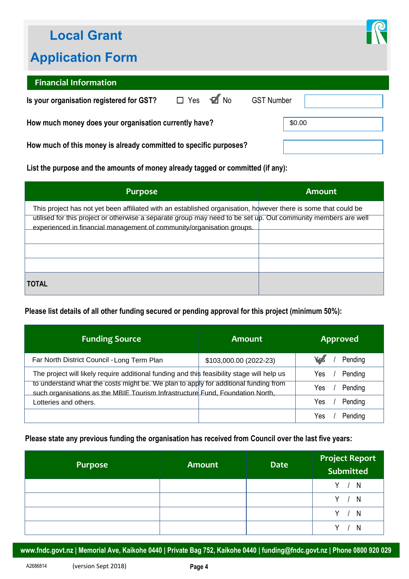## **Local Grant**

## **Application Form**



## **Financial Information**

| Is your organisation registered for GST?                          | $\Box$ Yes $\Box$ No |        | <b>GST Number</b> |  |
|-------------------------------------------------------------------|----------------------|--------|-------------------|--|
| How much money does your organisation currently have?             |                      | \$0.00 |                   |  |
| How much of this money is already committed to specific purposes? |                      |        |                   |  |

| How much money does your organisation currently have?                                                                                                                                                                                                                                                                    | \$0.00                 |                 |
|--------------------------------------------------------------------------------------------------------------------------------------------------------------------------------------------------------------------------------------------------------------------------------------------------------------------------|------------------------|-----------------|
| How much of this money is already committed to specific purposes?                                                                                                                                                                                                                                                        |                        |                 |
| List the purpose and the amounts of money already tagged or committed (if any):                                                                                                                                                                                                                                          |                        |                 |
| <b>Purpose</b>                                                                                                                                                                                                                                                                                                           |                        | <b>Amount</b>   |
| This project has not yet been affiliated with an established organisation, however there is some that could be<br>utilised for this project or otherwise a separate group may need to be set up. Out community members are well<br>experienced in financial management of community/organisation groups.<br><b>TOTAL</b> |                        |                 |
| Please list details of all other funding secured or pending approval for this project (minimum 50%):                                                                                                                                                                                                                     |                        |                 |
| <b>Funding Source</b>                                                                                                                                                                                                                                                                                                    | <b>Amount</b>          | <b>Approved</b> |
| Far North District Council - Long Term Plan                                                                                                                                                                                                                                                                              | \$103,000.00 (2022-23) | Pending<br>Yes. |

## **Please list details of all other funding secured or pending approval for this project (minimum 50%):**

| <b>Funding Source</b>                                                                                                                                                | Amount                 | <b>Approved</b> |
|----------------------------------------------------------------------------------------------------------------------------------------------------------------------|------------------------|-----------------|
| Far North District Council - Long Term Plan                                                                                                                          | \$103,000.00 (2022-23) | Ye s<br>Pending |
| The project will likely require additional funding and this feasibility stage will help us                                                                           |                        | Pending<br>Yes  |
| to understand what the costs might be. We plan to apply for additional funding from<br>such organisations as the MBIE Tourism Infrastructure Fund, Foundation North, |                        | Pending<br>Yes  |
| Lotteries and others.                                                                                                                                                |                        | Yes<br>Pending  |
|                                                                                                                                                                      |                        | Yes<br>Pending  |

## **Please state any previous funding the organisation has received from Council over the last five years:**

| Purpose | <b>Amount</b> | <b>Date</b> | <b>Project Report<br/>Submitted</b> |
|---------|---------------|-------------|-------------------------------------|
|         |               |             | Y -<br>N                            |
|         |               |             | V –<br>N                            |
|         |               |             | N                                   |
|         |               |             |                                     |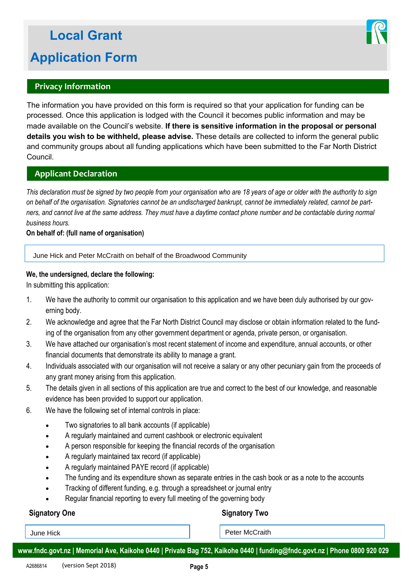## **Privacy Information**

The information you have provided on this form is required so that your application for funding can be processed. Once this application is lodged with the Council it becomes public information and may be made available on the Council's website. **If there is sensitive information in the proposal or personal details you wish to be withheld, please advise.** These details are collected to inform the general public and community groups about all funding applications which have been submitted to the Far North District Council.

## **Applicant Declaration**

*This declaration must be signed by two people from your organisation who are 18 years of age or older with the authority to sign on behalf of the organisation. Signatories cannot be an undischarged bankrupt, cannot be immediately related, cannot be partners, and cannot live at the same address. They must have a daytime contact phone number and be contactable during normal business hours.* 

#### **On behalf of: (full name of organisation)**

June Hick and Peter McCraith on behalf of the Broadwood Community

#### **We, the undersigned, declare the following:**

In submitting this application:

- 1. We have the authority to commit our organisation to this application and we have been duly authorised by our governing body.
- 2. We acknowledge and agree that the Far North District Council may disclose or obtain information related to the funding of the organisation from any other government department or agenda, private person, or organisation.
- 3. We have attached our organisation's most recent statement of income and expenditure, annual accounts, or other financial documents that demonstrate its ability to manage a grant.
- 4. Individuals associated with our organisation will not receive a salary or any other pecuniary gain from the proceeds of any grant money arising from this application.
- 5. The details given in all sections of this application are true and correct to the best of our knowledge, and reasonable evidence has been provided to support our application.
- 6. We have the following set of internal controls in place:
	- Two signatories to all bank accounts (if applicable)
	- A regularly maintained and current cashbook or electronic equivalent
	- A person responsible for keeping the financial records of the organisation
	- A regularly maintained tax record (if applicable)
	- A regularly maintained PAYE record (if applicable)
	- The funding and its expenditure shown as separate entries in the cash book or as a note to the accounts
	- Tracking of different funding, e.g. through a spreadsheet or journal entry
	- Regular financial reporting to every full meeting of the governing body

#### **Signatory One** Signatory Two

June Hick **Peter McCraith**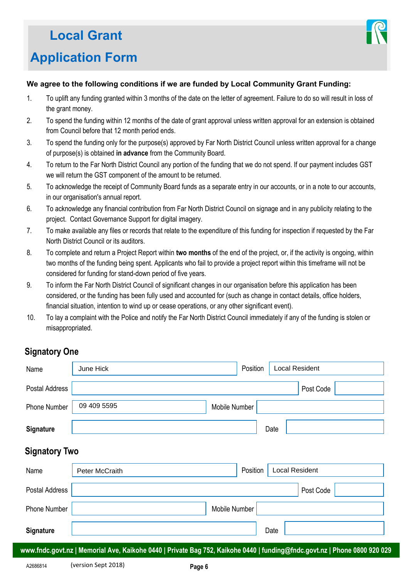

#### **We agree to the following conditions if we are funded by Local Community Grant Funding:**

- 1. To uplift any funding granted within 3 months of the date on the letter of agreement. Failure to do so will result in loss of the grant money.
- 2. To spend the funding within 12 months of the date of grant approval unless written approval for an extension is obtained from Council before that 12 month period ends.
- 3. To spend the funding only for the purpose(s) approved by Far North District Council unless written approval for a change of purpose(s) is obtained **in advance** from the Community Board.
- 4. To return to the Far North District Council any portion of the funding that we do not spend. If our payment includes GST we will return the GST component of the amount to be returned.
- 5. To acknowledge the receipt of Community Board funds as a separate entry in our accounts, or in a note to our accounts, in our organisation's annual report.
- 6. To acknowledge any financial contribution from Far North District Council on signage and in any publicity relating to the project. Contact Governance Support for digital imagery.
- 7. To make available any files or records that relate to the expenditure of this funding for inspection if requested by the Far North District Council or its auditors.
- 8. To complete and return a Project Report within **two months** of the end of the project, or, if the activity is ongoing, within two months of the funding being spent. Applicants who fail to provide a project report within this timeframe will not be considered for funding for stand-down period of five years.
- 9. To inform the Far North District Council of significant changes in our organisation before this application has been considered, or the funding has been fully used and accounted for (such as change in contact details, office holders, financial situation, intention to wind up or cease operations, or any other significant event).
- 10. To lay a complaint with the Police and notify the Far North District Council immediately if any of the funding is stolen or misappropriated.

## **Signatory One**

| Name                 | June Hick                                                                                                                 | Position      | Local Resident        |
|----------------------|---------------------------------------------------------------------------------------------------------------------------|---------------|-----------------------|
| Postal Address       |                                                                                                                           |               | Post Code             |
| Phone Number         | 09 409 5595                                                                                                               | Mobile Number |                       |
| Signature            |                                                                                                                           |               | Date                  |
| <b>Signatory Two</b> |                                                                                                                           |               |                       |
| Name                 | Peter McCraith                                                                                                            | Position      | <b>Local Resident</b> |
| Postal Address       |                                                                                                                           |               | Post Code             |
| <b>Phone Number</b>  |                                                                                                                           | Mobile Number |                       |
| Signature            |                                                                                                                           |               | Date                  |
|                      | www.fndc.govt.nz   Memorial Ave, Kaikohe 0440   Private Bag 752, Kaikohe 0440   funding@fndc.govt.nz   Phone 0800 920 029 |               |                       |